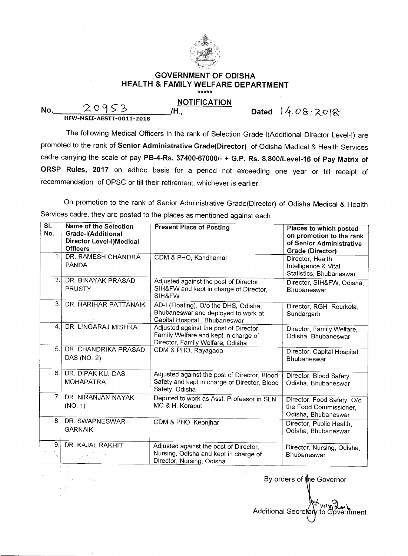

## **GOVERNMENT OF ODISHA HEALTH & FAMILY WELFARE DEPARTMENT**

## **NOTIFICATION**

 $No.$   $20953$ <br>HFW-MSII-AESTT-0011-2018

**/H., Dated )11- 0 a** 

The following Medical Officers in the rank of Selection Grade-I(Additional Director Level-I) are promoted to the rank of **Senior Administrative Grade(Director)** of Odisha Medical & Health Services cadre carrying the scale of pay **PB-4-Rs. 37400-67000/- + G.P. Rs. 8,800/Level-16 of Pay Matrix of ORSP Rules, 2017** on adhoc basis for a period not exceeding one year or till receipt of recommendation of OPSC or till their retirement, whichever is earlier.

On promotion to the rank of Senior Administrative Grade(Director) of Odisha Medical & Health Services cadre, they are posted to the places as mentioned against each.

| SI.            | <b>Name of the Selection</b> | <b>Present Place of Posting</b>              | Places to which posted      |
|----------------|------------------------------|----------------------------------------------|-----------------------------|
| No.            | Grade-I(Additional           |                                              | on promotion to the rank    |
|                | Director Level-I)Medical     |                                              | of Senior Administrative    |
|                | <b>Officers</b>              |                                              |                             |
| 1.1            | DR. RAMESH CHANDRA           | CDM & PHO, Kandhamal                         | <b>Grade (Director)</b>     |
|                | <b>PANDA</b>                 |                                              | Director, Health            |
|                |                              |                                              | Intelligence & Vital        |
| 2.             |                              |                                              | Statistics, Bhubaneswar     |
|                | DR. BINAYAK PRASAD           | Adjusted against the post of Director,       | Director, SIH&FW, Odisha,   |
|                | <b>PRUSTY</b>                | SIH&FW and kept in charge of Director,       | Bhubaneswar                 |
|                |                              | SIH&FW                                       |                             |
| 3.             | DR. HARIHAR PATTANAIK        | AD-I (Floating), O/o the DHS, Odisha,        | Director, RGH, Rourkela,    |
|                |                              | Bhubaneswar and deployed to work at          | Sundargarh                  |
|                |                              | Capital Hospital, Bhubaneswar                |                             |
| 4.1            | DR. LINGARAJ MISHRA          | Adjusted against the post of Director,       | Director, Family Welfare,   |
|                |                              | Family Welfare and kept in charge of         | Odisha, Bhubaneswar         |
|                |                              | Director, Family Welfare, Odisha             |                             |
| 5.             | DR. CHANDRIKA PRASAD         | CDM & PHO, Rayagada                          | Director, Capital Hospital, |
|                | DAS (NO: 2)                  |                                              | Bhubaneswar                 |
|                |                              |                                              |                             |
| 6.             | DR. DIPAK KU, DAS            | Adjusted against the post of Director, Blood | Director, Blood Safety,     |
|                | <b>MOHAPATRA</b>             | Safety and kept in charge of Director, Blood | Odisha, Bhubaneswar         |
|                |                              | Safety, Odisha                               |                             |
| 7 <sub>1</sub> | DR. NIRANJAN NAYAK           | Deputed to work as Asst. Professor in SLN    |                             |
|                | (NO. 1)                      | MC & H, Koraput                              | Director, Food Safety, O/o  |
|                |                              |                                              | the Food Commissioner,      |
| 8.             | DR. SWAPNESWAR               |                                              | Odisha, Bhubaneswar         |
|                |                              | CDM & PHO, Keonjhar                          | Director, Public Health,    |
|                | <b>GARNAIK</b>               |                                              | Odisha, Bhubaneswar         |
|                |                              |                                              |                             |
| 9.             | DR. KAJAL RAKHIT             | Adjusted against the post of Director,       | Director, Nursing, Odisha,  |
|                |                              | Nursing, Odisha and kept in charge of        | Bhubaneswar                 |
|                |                              | Director, Nursing, Odisha                    |                             |

By orders of the Governor  $\mathbb{M}\boxtimes$ Additional Secretary to Government